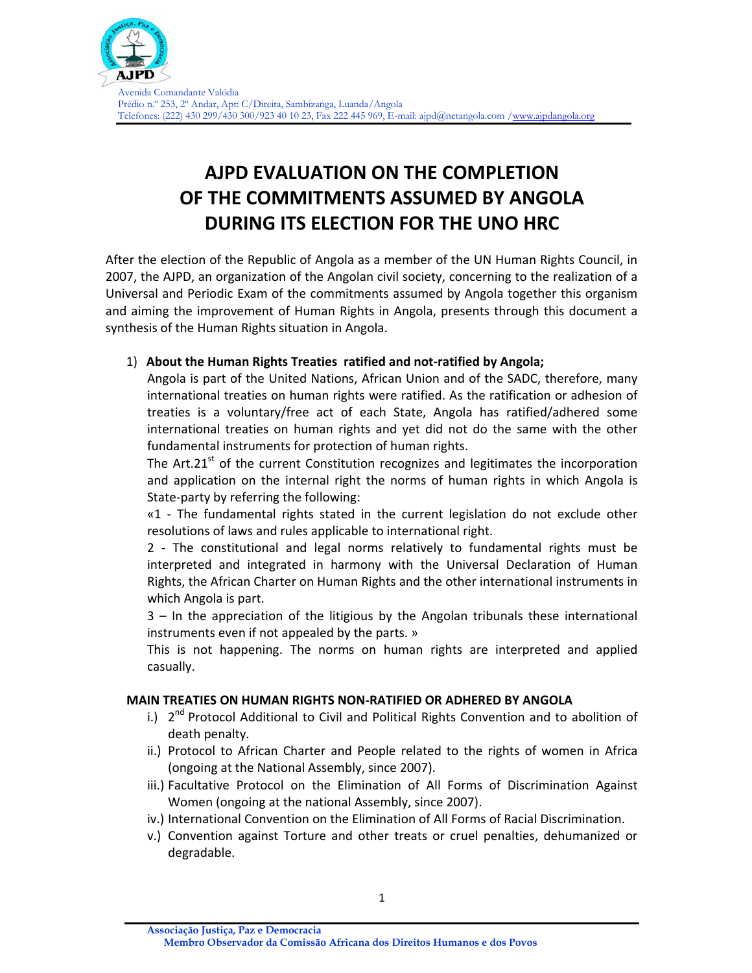

# **AJPD EVALUATION ON THE COMPLETION OF THE COMMITMENTS ASSUMED BY ANGOLA DURING ITS ELECTION FOR THE UNO HRC**

After the election of the Republic of Angola as a member of the UN Human Rights Council, in 2007, the AJPD, an organization of the Angolan civil society, concerning to the realization of a Universal and Periodic Exam of the commitments assumed by Angola together this organism and aiming the improvement of Human Rights in Angola, presents through this document a synthesis of the Human Rights situation in Angola.

## 1) **About the Human Rights Treaties ratified and not‐ratified by Angola;**

Angola is part of the United Nations, African Union and of the SADC, therefore, many international treaties on human rights were ratified. As the ratification or adhesion of treaties is a voluntary/free act of each State, Angola has ratified/adhered some international treaties on human rights and yet did not do the same with the other fundamental instruments for protection of human rights.

The Art.21 $<sup>st</sup>$  of the current Constitution recognizes and legitimates the incorporation</sup> and application on the internal right the norms of human rights in which Angola is State‐party by referring the following:

«1 ‐ The fundamental rights stated in the current legislation do not exclude other resolutions of laws and rules applicable to international right.

2 ‐ The constitutional and legal norms relatively to fundamental rights must be interpreted and integrated in harmony with the Universal Declaration of Human Rights, the African Charter on Human Rights and the other international instruments in which Angola is part.

3 – In the appreciation of the litigious by the Angolan tribunals these international instruments even if not appealed by the parts. »

This is not happening. The norms on human rights are interpreted and applied casually.

#### **MAIN TREATIES ON HUMAN RIGHTS NON‐RATIFIED OR ADHERED BY ANGOLA**

- i.)  $2^{nd}$  Protocol Additional to Civil and Political Rights Convention and to abolition of death penalty.
- ii.) Protocol to African Charter and People related to the rights of women in Africa (ongoing at the National Assembly, since 2007).
- iii.) Facultative Protocol on the Elimination of All Forms of Discrimination Against Women (ongoing at the national Assembly, since 2007).
- iv.) International Convention on the Elimination of All Forms of Racial Discrimination.
- v.) Convention against Torture and other treats or cruel penalties, dehumanized or degradable.

**Associação Justiça, Paz e Democracia**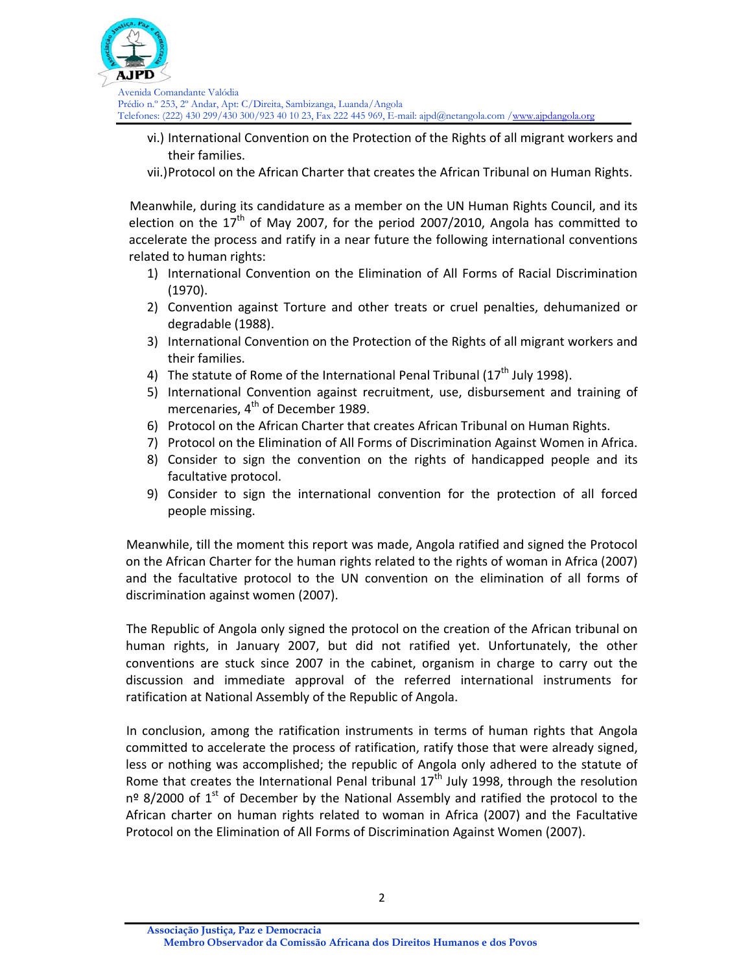

- vi.) International Convention on the Protection of the Rights of all migrant workers and their families.
- vii.)Protocol on the African Charter that creates the African Tribunal on Human Rights.

Meanwhile, during its candidature as a member on the UN Human Rights Council, and its election on the  $17<sup>th</sup>$  of May 2007, for the period 2007/2010, Angola has committed to accelerate the process and ratify in a near future the following international conventions related to human rights:

- 1) International Convention on the Elimination of All Forms of Racial Discrimination (1970).
- 2) Convention against Torture and other treats or cruel penalties, dehumanized or degradable (1988).
- 3) International Convention on the Protection of the Rights of all migrant workers and their families.
- 4) The statute of Rome of the International Penal Tribunal  $(17<sup>th</sup>$  July 1998).
- 5) International Convention against recruitment, use, disbursement and training of mercenaries,  $4<sup>th</sup>$  of December 1989.
- 6) Protocol on the African Charter that creates African Tribunal on Human Rights.
- 7) Protocol on the Elimination of All Forms of Discrimination Against Women in Africa.
- 8) Consider to sign the convention on the rights of handicapped people and its facultative protocol.
- 9) Consider to sign the international convention for the protection of all forced people missing.

Meanwhile, till the moment this report was made, Angola ratified and signed the Protocol on the African Charter for the human rights related to the rights of woman in Africa (2007) and the facultative protocol to the UN convention on the elimination of all forms of discrimination against women (2007).

The Republic of Angola only signed the protocol on the creation of the African tribunal on human rights, in January 2007, but did not ratified yet. Unfortunately, the other conventions are stuck since 2007 in the cabinet, organism in charge to carry out the discussion and immediate approval of the referred international instruments for ratification at National Assembly of the Republic of Angola.

In conclusion, among the ratification instruments in terms of human rights that Angola committed to accelerate the process of ratification, ratify those that were already signed, less or nothing was accomplished; the republic of Angola only adhered to the statute of Rome that creates the International Penal tribunal  $17<sup>th</sup>$  July 1998, through the resolution  $n<sup>9</sup>$  8/2000 of 1<sup>st</sup> of December by the National Assembly and ratified the protocol to the African charter on human rights related to woman in Africa (2007) and the Facultative Protocol on the Elimination of All Forms of Discrimination Against Women (2007).

**Associação Justiça, Paz e Democracia Membro Observador da Comissão Africana dos Direitos Humanos e dos Povos**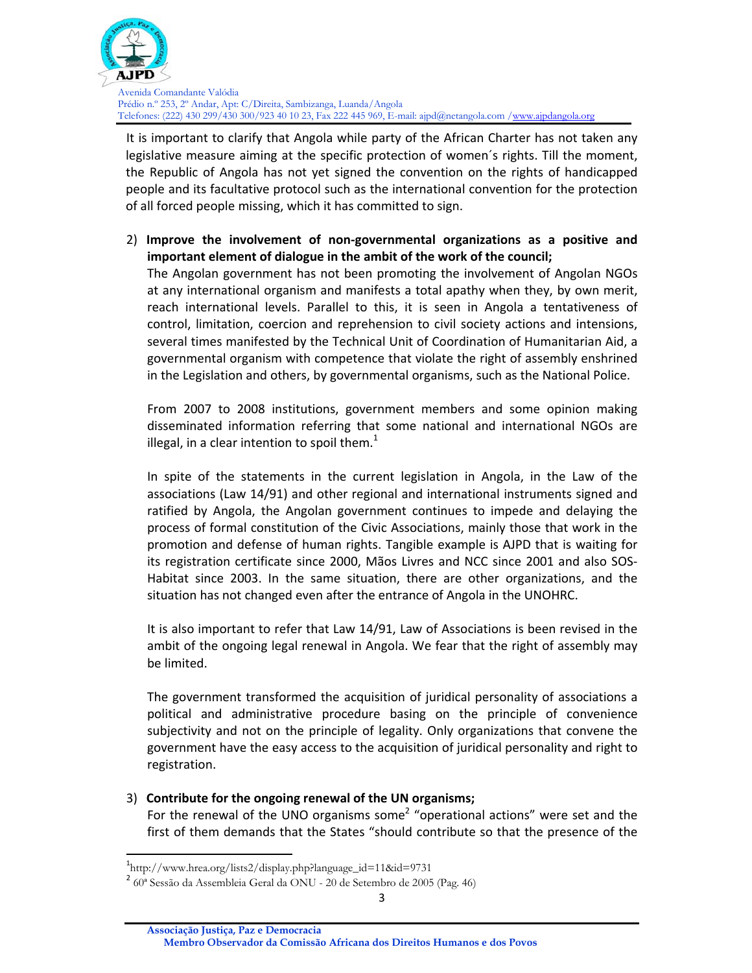

It is important to clarify that Angola while party of the African Charter has not taken any legislative measure aiming at the specific protection of women´s rights. Till the moment, the Republic of Angola has not yet signed the convention on the rights of handicapped people and its facultative protocol such as the international convention for the protection of all forced people missing, which it has committed to sign.

2) **Improve the involvement of non‐governmental organizations as a positive and important element of dialogue in the ambit of the work of the council;**

The Angolan government has not been promoting the involvement of Angolan NGOs at any international organism and manifests a total apathy when they, by own merit, reach international levels. Parallel to this, it is seen in Angola a tentativeness of control, limitation, coercion and reprehension to civil society actions and intensions, several times manifested by the Technical Unit of Coordination of Humanitarian Aid, a governmental organism with competence that violate the right of assembly enshrined in the Legislation and others, by governmental organisms, such as the National Police.

From 2007 to 2008 institutions, government members and some opinion making disseminated information referring that some national and international NGOs are illegal, in a clear intention to spoil them. $<sup>1</sup>$ </sup>

In spite of the statements in the current legislation in Angola, in the Law of the associations (Law 14/91) and other regional and international instruments signed and ratified by Angola, the Angolan government continues to impede and delaying the process of formal constitution of the Civic Associations, mainly those that work in the promotion and defense of human rights. Tangible example is AJPD that is waiting for its registration certificate since 2000, Mãos Livres and NCC since 2001 and also SOS‐ Habitat since 2003. In the same situation, there are other organizations, and the situation has not changed even after the entrance of Angola in the UNOHRC.

It is also important to refer that Law 14/91, Law of Associations is been revised in the ambit of the ongoing legal renewal in Angola. We fear that the right of assembly may be limited.

The government transformed the acquisition of juridical personality of associations a political and administrative procedure basing on the principle of convenience subjectivity and not on the principle of legality. Only organizations that convene the government have the easy access to the acquisition of juridical personality and right to registration.

#### 3) **Contribute for the ongoing renewal of the UN organisms;**

For the renewal of the UNO organisms some<sup>2</sup> "operational actions" were set and the first of them demands that the States "should contribute so that the presence of the

<sup>1</sup> http://www.hrea.org/lists2/display.php?language\_id=11&id=9731

<sup>2</sup> 60ª Sessão da Assembleia Geral da ONU - 20 de Setembro de 2005 (Pag. 46)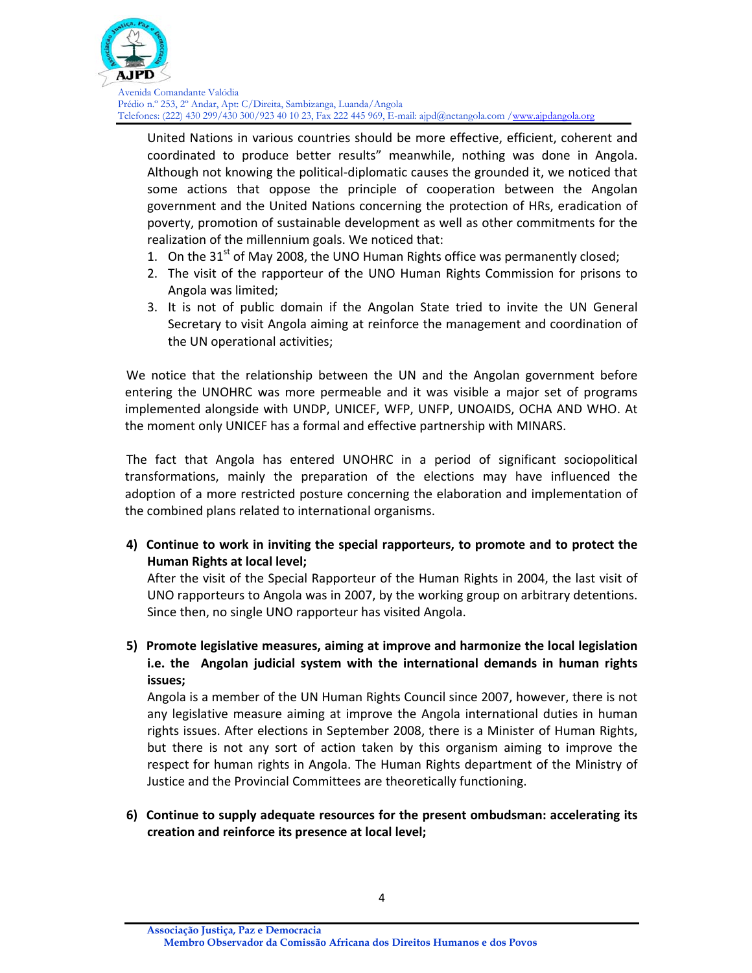

United Nations in various countries should be more effective, efficient, coherent and coordinated to produce better results" meanwhile, nothing was done in Angola. Although not knowing the political‐diplomatic causes the grounded it, we noticed that some actions that oppose the principle of cooperation between the Angolan government and the United Nations concerning the protection of HRs, eradication of poverty, promotion of sustainable development as well as other commitments for the realization of the millennium goals. We noticed that:

- 1. On the  $31<sup>st</sup>$  of May 2008, the UNO Human Rights office was permanently closed;
- 2. The visit of the rapporteur of the UNO Human Rights Commission for prisons to Angola was limited;
- 3. It is not of public domain if the Angolan State tried to invite the UN General Secretary to visit Angola aiming at reinforce the management and coordination of the UN operational activities;

We notice that the relationship between the UN and the Angolan government before entering the UNOHRC was more permeable and it was visible a major set of programs implemented alongside with UNDP, UNICEF, WFP, UNFP, UNOAIDS, OCHA AND WHO. At the moment only UNICEF has a formal and effective partnership with MINARS.

The fact that Angola has entered UNOHRC in a period of significant sociopolitical transformations, mainly the preparation of the elections may have influenced the adoption of a more restricted posture concerning the elaboration and implementation of the combined plans related to international organisms.

**4) Continue to work in inviting the special rapporteurs, to promote and to protect the Human Rights at local level;**

After the visit of the Special Rapporteur of the Human Rights in 2004, the last visit of UNO rapporteurs to Angola was in 2007, by the working group on arbitrary detentions. Since then, no single UNO rapporteur has visited Angola.

**5) Promote legislative measures, aiming at improve and harmonize the local legislation i.e. the Angolan judicial system with the international demands in human rights issues;**

Angola is a member of the UN Human Rights Council since 2007, however, there is not any legislative measure aiming at improve the Angola international duties in human rights issues. After elections in September 2008, there is a Minister of Human Rights, but there is not any sort of action taken by this organism aiming to improve the respect for human rights in Angola. The Human Rights department of the Ministry of Justice and the Provincial Committees are theoretically functioning.

**6) Continue to supply adequate resources for the present ombudsman: accelerating its creation and reinforce its presence at local level;**

**Associação Justiça, Paz e Democracia**